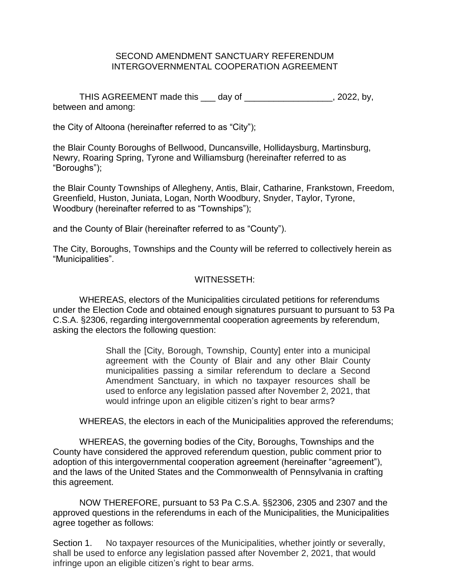### SECOND AMENDMENT SANCTUARY REFERENDUM INTERGOVERNMENTAL COOPERATION AGREEMENT

THIS AGREEMENT made this \_\_\_ day of \_\_\_\_\_\_\_\_\_\_\_\_\_\_\_\_\_\_, 2022, by, between and among:

the City of Altoona (hereinafter referred to as "City");

the Blair County Boroughs of Bellwood, Duncansville, Hollidaysburg, Martinsburg, Newry, Roaring Spring, Tyrone and Williamsburg (hereinafter referred to as "Boroughs");

the Blair County Townships of Allegheny, Antis, Blair, Catharine, Frankstown, Freedom, Greenfield, Huston, Juniata, Logan, North Woodbury, Snyder, Taylor, Tyrone, Woodbury (hereinafter referred to as "Townships");

and the County of Blair (hereinafter referred to as "County").

The City, Boroughs, Townships and the County will be referred to collectively herein as "Municipalities".

# WITNESSETH:

WHEREAS, electors of the Municipalities circulated petitions for referendums under the Election Code and obtained enough signatures pursuant to pursuant to 53 Pa C.S.A. §2306, regarding intergovernmental cooperation agreements by referendum, asking the electors the following question:

> Shall the [City, Borough, Township, County] enter into a municipal agreement with the County of Blair and any other Blair County municipalities passing a similar referendum to declare a Second Amendment Sanctuary, in which no taxpayer resources shall be used to enforce any legislation passed after November 2, 2021, that would infringe upon an eligible citizen's right to bear arms?

WHEREAS, the electors in each of the Municipalities approved the referendums;

WHEREAS, the governing bodies of the City, Boroughs, Townships and the County have considered the approved referendum question, public comment prior to adoption of this intergovernmental cooperation agreement (hereinafter "agreement"), and the laws of the United States and the Commonwealth of Pennsylvania in crafting this agreement.

NOW THEREFORE, pursuant to 53 Pa C.S.A. §§2306, 2305 and 2307 and the approved questions in the referendums in each of the Municipalities, the Municipalities agree together as follows:

Section 1. No taxpayer resources of the Municipalities, whether jointly or severally, shall be used to enforce any legislation passed after November 2, 2021, that would infringe upon an eligible citizen's right to bear arms.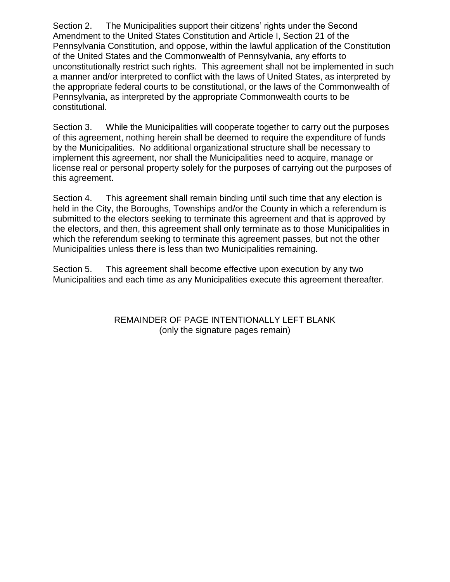Section 2. The Municipalities support their citizens' rights under the Second Amendment to the United States Constitution and Article I, Section 21 of the Pennsylvania Constitution, and oppose, within the lawful application of the Constitution of the United States and the Commonwealth of Pennsylvania, any efforts to unconstitutionally restrict such rights. This agreement shall not be implemented in such a manner and/or interpreted to conflict with the laws of United States, as interpreted by the appropriate federal courts to be constitutional, or the laws of the Commonwealth of Pennsylvania, as interpreted by the appropriate Commonwealth courts to be constitutional.

Section 3. While the Municipalities will cooperate together to carry out the purposes of this agreement, nothing herein shall be deemed to require the expenditure of funds by the Municipalities. No additional organizational structure shall be necessary to implement this agreement, nor shall the Municipalities need to acquire, manage or license real or personal property solely for the purposes of carrying out the purposes of this agreement.

Section 4. This agreement shall remain binding until such time that any election is held in the City, the Boroughs, Townships and/or the County in which a referendum is submitted to the electors seeking to terminate this agreement and that is approved by the electors, and then, this agreement shall only terminate as to those Municipalities in which the referendum seeking to terminate this agreement passes, but not the other Municipalities unless there is less than two Municipalities remaining.

Section 5. This agreement shall become effective upon execution by any two Municipalities and each time as any Municipalities execute this agreement thereafter.

> REMAINDER OF PAGE INTENTIONALLY LEFT BLANK (only the signature pages remain)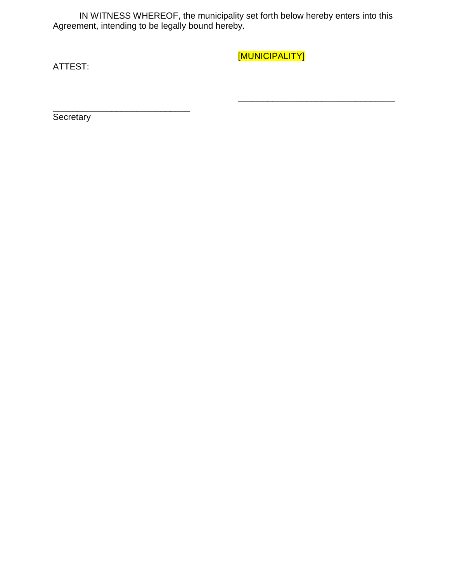IN WITNESS WHEREOF, the municipality set forth below hereby enters into this Agreement, intending to be legally bound hereby.

ATTEST:

[MUNICIPALITY]

\_\_\_\_\_\_\_\_\_\_\_\_\_\_\_\_\_\_\_\_\_\_\_\_\_\_\_\_\_\_\_\_

**Secretary** 

\_\_\_\_\_\_\_\_\_\_\_\_\_\_\_\_\_\_\_\_\_\_\_\_\_\_\_\_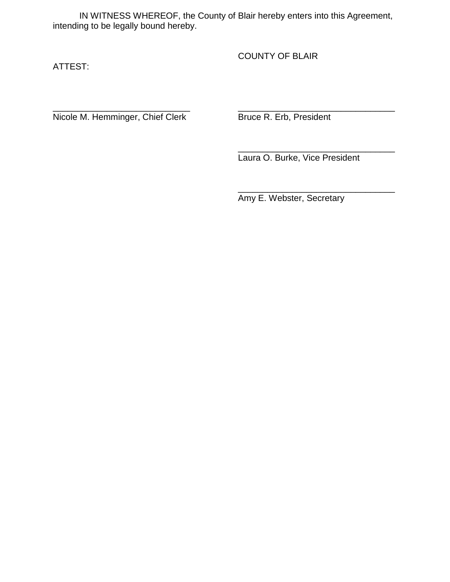IN WITNESS WHEREOF, the County of Blair hereby enters into this Agreement, intending to be legally bound hereby.

ATTEST:

COUNTY OF BLAIR

\_\_\_\_\_\_\_\_\_\_\_\_\_\_\_\_\_\_\_\_\_\_\_\_\_\_\_\_ \_\_\_\_\_\_\_\_\_\_\_\_\_\_\_\_\_\_\_\_\_\_\_\_\_\_\_\_\_\_\_\_ Nicole M. Hemminger, Chief Clerk Bruce R. Erb, President

\_\_\_\_\_\_\_\_\_\_\_\_\_\_\_\_\_\_\_\_\_\_\_\_\_\_\_\_\_\_\_\_ Laura O. Burke, Vice President

\_\_\_\_\_\_\_\_\_\_\_\_\_\_\_\_\_\_\_\_\_\_\_\_\_\_\_\_\_\_\_\_

Amy E. Webster, Secretary